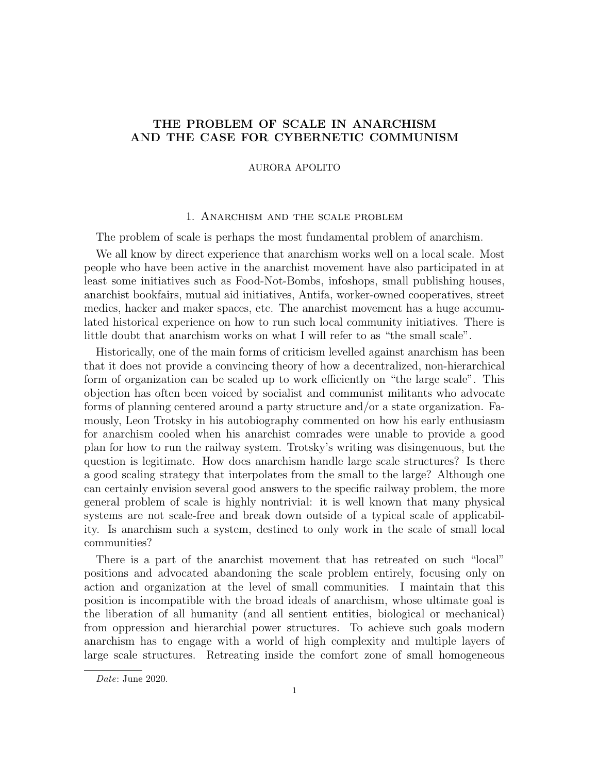# THE PROBLEM OF SCALE IN ANARCHISM AND THE CASE FOR CYBERNETIC COMMUNISM

### AURORA APOLITO

### 1. Anarchism and the scale problem

The problem of scale is perhaps the most fundamental problem of anarchism.

We all know by direct experience that anarchism works well on a local scale. Most people who have been active in the anarchist movement have also participated in at least some initiatives such as Food-Not-Bombs, infoshops, small publishing houses, anarchist bookfairs, mutual aid initiatives, Antifa, worker-owned cooperatives, street medics, hacker and maker spaces, etc. The anarchist movement has a huge accumulated historical experience on how to run such local community initiatives. There is little doubt that anarchism works on what I will refer to as "the small scale".

Historically, one of the main forms of criticism levelled against anarchism has been that it does not provide a convincing theory of how a decentralized, non-hierarchical form of organization can be scaled up to work efficiently on "the large scale". This objection has often been voiced by socialist and communist militants who advocate forms of planning centered around a party structure and/or a state organization. Famously, Leon Trotsky in his autobiography commented on how his early enthusiasm for anarchism cooled when his anarchist comrades were unable to provide a good plan for how to run the railway system. Trotsky's writing was disingenuous, but the question is legitimate. How does anarchism handle large scale structures? Is there a good scaling strategy that interpolates from the small to the large? Although one can certainly envision several good answers to the specific railway problem, the more general problem of scale is highly nontrivial: it is well known that many physical systems are not scale-free and break down outside of a typical scale of applicability. Is anarchism such a system, destined to only work in the scale of small local communities?

There is a part of the anarchist movement that has retreated on such "local" positions and advocated abandoning the scale problem entirely, focusing only on action and organization at the level of small communities. I maintain that this position is incompatible with the broad ideals of anarchism, whose ultimate goal is the liberation of all humanity (and all sentient entities, biological or mechanical) from oppression and hierarchial power structures. To achieve such goals modern anarchism has to engage with a world of high complexity and multiple layers of large scale structures. Retreating inside the comfort zone of small homogeneous

Date: June 2020.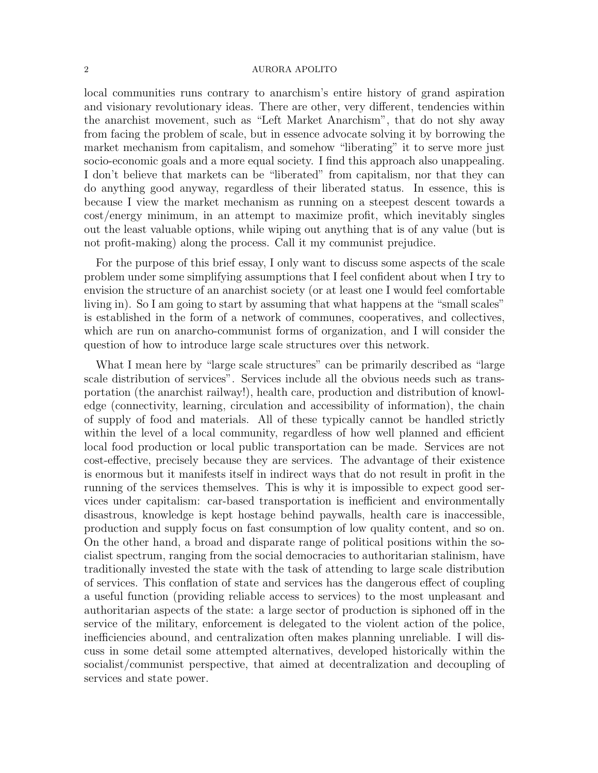local communities runs contrary to anarchism's entire history of grand aspiration and visionary revolutionary ideas. There are other, very different, tendencies within the anarchist movement, such as "Left Market Anarchism", that do not shy away from facing the problem of scale, but in essence advocate solving it by borrowing the market mechanism from capitalism, and somehow "liberating" it to serve more just socio-economic goals and a more equal society. I find this approach also unappealing. I don't believe that markets can be "liberated" from capitalism, nor that they can do anything good anyway, regardless of their liberated status. In essence, this is because I view the market mechanism as running on a steepest descent towards a cost/energy minimum, in an attempt to maximize profit, which inevitably singles out the least valuable options, while wiping out anything that is of any value (but is not profit-making) along the process. Call it my communist prejudice.

For the purpose of this brief essay, I only want to discuss some aspects of the scale problem under some simplifying assumptions that I feel confident about when I try to envision the structure of an anarchist society (or at least one I would feel comfortable living in). So I am going to start by assuming that what happens at the "small scales" is established in the form of a network of communes, cooperatives, and collectives, which are run on anarcho-communist forms of organization, and I will consider the question of how to introduce large scale structures over this network.

What I mean here by "large scale structures" can be primarily described as "large scale distribution of services". Services include all the obvious needs such as transportation (the anarchist railway!), health care, production and distribution of knowledge (connectivity, learning, circulation and accessibility of information), the chain of supply of food and materials. All of these typically cannot be handled strictly within the level of a local community, regardless of how well planned and efficient local food production or local public transportation can be made. Services are not cost-effective, precisely because they are services. The advantage of their existence is enormous but it manifests itself in indirect ways that do not result in profit in the running of the services themselves. This is why it is impossible to expect good services under capitalism: car-based transportation is inefficient and environmentally disastrous, knowledge is kept hostage behind paywalls, health care is inaccessible, production and supply focus on fast consumption of low quality content, and so on. On the other hand, a broad and disparate range of political positions within the socialist spectrum, ranging from the social democracies to authoritarian stalinism, have traditionally invested the state with the task of attending to large scale distribution of services. This conflation of state and services has the dangerous effect of coupling a useful function (providing reliable access to services) to the most unpleasant and authoritarian aspects of the state: a large sector of production is siphoned off in the service of the military, enforcement is delegated to the violent action of the police, inefficiencies abound, and centralization often makes planning unreliable. I will discuss in some detail some attempted alternatives, developed historically within the socialist/communist perspective, that aimed at decentralization and decoupling of services and state power.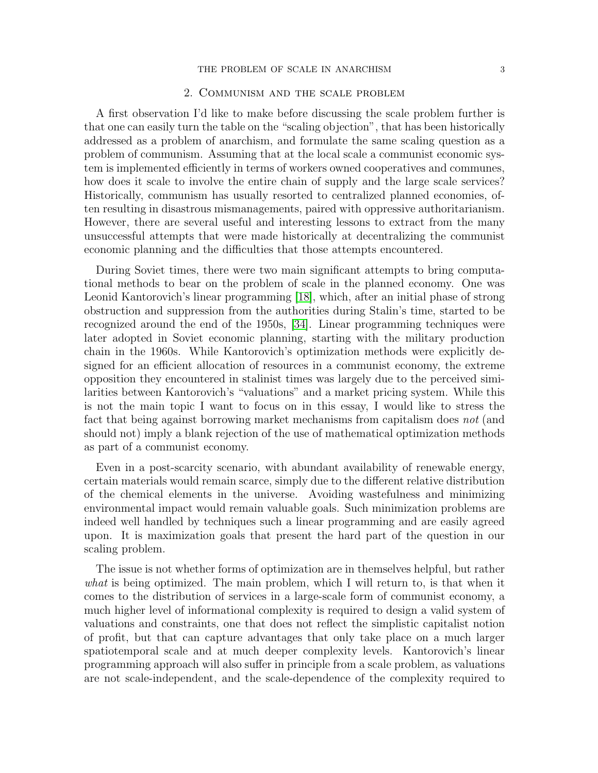#### THE PROBLEM OF SCALE IN ANARCHISM 3

# 2. Communism and the scale problem

A first observation I'd like to make before discussing the scale problem further is that one can easily turn the table on the "scaling objection", that has been historically addressed as a problem of anarchism, and formulate the same scaling question as a problem of communism. Assuming that at the local scale a communist economic system is implemented efficiently in terms of workers owned cooperatives and communes, how does it scale to involve the entire chain of supply and the large scale services? Historically, communism has usually resorted to centralized planned economies, often resulting in disastrous mismanagements, paired with oppressive authoritarianism. However, there are several useful and interesting lessons to extract from the many unsuccessful attempts that were made historically at decentralizing the communist economic planning and the difficulties that those attempts encountered.

During Soviet times, there were two main significant attempts to bring computational methods to bear on the problem of scale in the planned economy. One was Leonid Kantorovich's linear programming [\[18\]](#page-18-0), which, after an initial phase of strong obstruction and suppression from the authorities during Stalin's time, started to be recognized around the end of the 1950s, [\[34\]](#page-19-0). Linear programming techniques were later adopted in Soviet economic planning, starting with the military production chain in the 1960s. While Kantorovich's optimization methods were explicitly designed for an efficient allocation of resources in a communist economy, the extreme opposition they encountered in stalinist times was largely due to the perceived similarities between Kantorovich's "valuations" and a market pricing system. While this is not the main topic I want to focus on in this essay, I would like to stress the fact that being against borrowing market mechanisms from capitalism does not (and should not) imply a blank rejection of the use of mathematical optimization methods as part of a communist economy.

Even in a post-scarcity scenario, with abundant availability of renewable energy, certain materials would remain scarce, simply due to the different relative distribution of the chemical elements in the universe. Avoiding wastefulness and minimizing environmental impact would remain valuable goals. Such minimization problems are indeed well handled by techniques such a linear programming and are easily agreed upon. It is maximization goals that present the hard part of the question in our scaling problem.

The issue is not whether forms of optimization are in themselves helpful, but rather what is being optimized. The main problem, which I will return to, is that when it comes to the distribution of services in a large-scale form of communist economy, a much higher level of informational complexity is required to design a valid system of valuations and constraints, one that does not reflect the simplistic capitalist notion of profit, but that can capture advantages that only take place on a much larger spatiotemporal scale and at much deeper complexity levels. Kantorovich's linear programming approach will also suffer in principle from a scale problem, as valuations are not scale-independent, and the scale-dependence of the complexity required to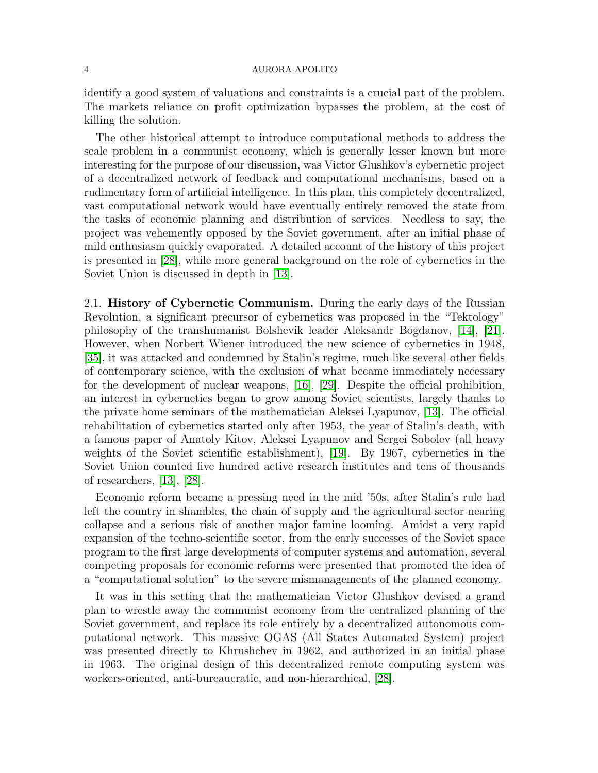identify a good system of valuations and constraints is a crucial part of the problem. The markets reliance on profit optimization bypasses the problem, at the cost of killing the solution.

The other historical attempt to introduce computational methods to address the scale problem in a communist economy, which is generally lesser known but more interesting for the purpose of our discussion, was Victor Glushkov's cybernetic project of a decentralized network of feedback and computational mechanisms, based on a rudimentary form of artificial intelligence. In this plan, this completely decentralized, vast computational network would have eventually entirely removed the state from the tasks of economic planning and distribution of services. Needless to say, the project was vehemently opposed by the Soviet government, after an initial phase of mild enthusiasm quickly evaporated. A detailed account of the history of this project is presented in [\[28\]](#page-18-1), while more general background on the role of cybernetics in the Soviet Union is discussed in depth in [\[13\]](#page-18-2).

2.1. History of Cybernetic Communism. During the early days of the Russian Revolution, a significant precursor of cybernetics was proposed in the "Tektology" philosophy of the transhumanist Bolshevik leader Aleksandr Bogdanov, [\[14\]](#page-18-3), [\[21\]](#page-18-4). However, when Norbert Wiener introduced the new science of cybernetics in 1948, [\[35\]](#page-19-1), it was attacked and condemned by Stalin's regime, much like several other fields of contemporary science, with the exclusion of what became immediately necessary for the development of nuclear weapons, [\[16\]](#page-18-5), [\[29\]](#page-18-6). Despite the official prohibition, an interest in cybernetics began to grow among Soviet scientists, largely thanks to the private home seminars of the mathematician Aleksei Lyapunov, [\[13\]](#page-18-2). The official rehabilitation of cybernetics started only after 1953, the year of Stalin's death, with a famous paper of Anatoly Kitov, Aleksei Lyapunov and Sergei Sobolev (all heavy weights of the Soviet scientific establishment), [\[19\]](#page-18-7). By 1967, cybernetics in the Soviet Union counted five hundred active research institutes and tens of thousands of researchers, [\[13\]](#page-18-2), [\[28\]](#page-18-1).

Economic reform became a pressing need in the mid '50s, after Stalin's rule had left the country in shambles, the chain of supply and the agricultural sector nearing collapse and a serious risk of another major famine looming. Amidst a very rapid expansion of the techno-scientific sector, from the early successes of the Soviet space program to the first large developments of computer systems and automation, several competing proposals for economic reforms were presented that promoted the idea of a "computational solution" to the severe mismanagements of the planned economy.

It was in this setting that the mathematician Victor Glushkov devised a grand plan to wrestle away the communist economy from the centralized planning of the Soviet government, and replace its role entirely by a decentralized autonomous computational network. This massive OGAS (All States Automated System) project was presented directly to Khrushchev in 1962, and authorized in an initial phase in 1963. The original design of this decentralized remote computing system was workers-oriented, anti-bureaucratic, and non-hierarchical, [\[28\]](#page-18-1).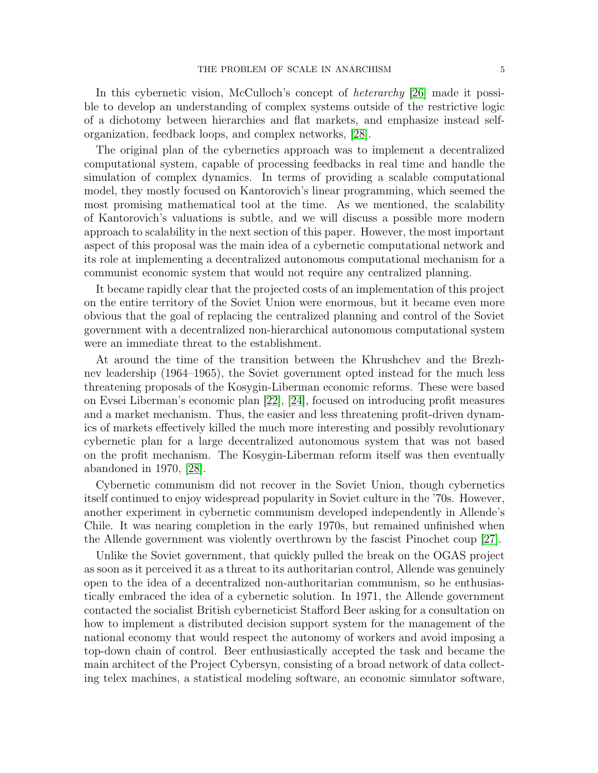In this cybernetic vision, McCulloch's concept of heterarchy [\[26\]](#page-18-8) made it possible to develop an understanding of complex systems outside of the restrictive logic of a dichotomy between hierarchies and flat markets, and emphasize instead selforganization, feedback loops, and complex networks, [\[28\]](#page-18-1).

The original plan of the cybernetics approach was to implement a decentralized computational system, capable of processing feedbacks in real time and handle the simulation of complex dynamics. In terms of providing a scalable computational model, they mostly focused on Kantorovich's linear programming, which seemed the most promising mathematical tool at the time. As we mentioned, the scalability of Kantorovich's valuations is subtle, and we will discuss a possible more modern approach to scalability in the next section of this paper. However, the most important aspect of this proposal was the main idea of a cybernetic computational network and its role at implementing a decentralized autonomous computational mechanism for a communist economic system that would not require any centralized planning.

It became rapidly clear that the projected costs of an implementation of this project on the entire territory of the Soviet Union were enormous, but it became even more obvious that the goal of replacing the centralized planning and control of the Soviet government with a decentralized non-hierarchical autonomous computational system were an immediate threat to the establishment.

At around the time of the transition between the Khrushchev and the Brezhnev leadership (1964–1965), the Soviet government opted instead for the much less threatening proposals of the Kosygin-Liberman economic reforms. These were based on Evsei Liberman's economic plan [\[22\]](#page-18-9), [\[24\]](#page-18-10), focused on introducing profit measures and a market mechanism. Thus, the easier and less threatening profit-driven dynamics of markets effectively killed the much more interesting and possibly revolutionary cybernetic plan for a large decentralized autonomous system that was not based on the profit mechanism. The Kosygin-Liberman reform itself was then eventually abandoned in 1970, [\[28\]](#page-18-1).

Cybernetic communism did not recover in the Soviet Union, though cybernetics itself continued to enjoy widespread popularity in Soviet culture in the '70s. However, another experiment in cybernetic communism developed independently in Allende's Chile. It was nearing completion in the early 1970s, but remained unfinished when the Allende government was violently overthrown by the fascist Pinochet coup [\[27\]](#page-18-11).

Unlike the Soviet government, that quickly pulled the break on the OGAS project as soon as it perceived it as a threat to its authoritarian control, Allende was genuinely open to the idea of a decentralized non-authoritarian communism, so he enthusiastically embraced the idea of a cybernetic solution. In 1971, the Allende government contacted the socialist British cyberneticist Stafford Beer asking for a consultation on how to implement a distributed decision support system for the management of the national economy that would respect the autonomy of workers and avoid imposing a top-down chain of control. Beer enthusiastically accepted the task and became the main architect of the Project Cybersyn, consisting of a broad network of data collecting telex machines, a statistical modeling software, an economic simulator software,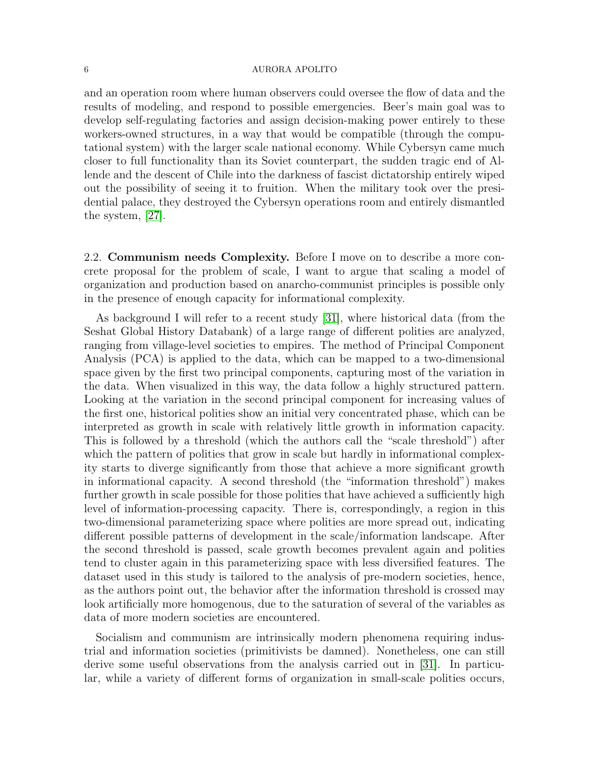and an operation room where human observers could oversee the flow of data and the results of modeling, and respond to possible emergencies. Beer's main goal was to develop self-regulating factories and assign decision-making power entirely to these workers-owned structures, in a way that would be compatible (through the computational system) with the larger scale national economy. While Cybersyn came much closer to full functionality than its Soviet counterpart, the sudden tragic end of Allende and the descent of Chile into the darkness of fascist dictatorship entirely wiped out the possibility of seeing it to fruition. When the military took over the presidential palace, they destroyed the Cybersyn operations room and entirely dismantled the system, [\[27\]](#page-18-11).

2.2. Communism needs Complexity. Before I move on to describe a more concrete proposal for the problem of scale, I want to argue that scaling a model of organization and production based on anarcho-communist principles is possible only in the presence of enough capacity for informational complexity.

As background I will refer to a recent study [\[31\]](#page-19-2), where historical data (from the Seshat Global History Databank) of a large range of different polities are analyzed, ranging from village-level societies to empires. The method of Principal Component Analysis (PCA) is applied to the data, which can be mapped to a two-dimensional space given by the first two principal components, capturing most of the variation in the data. When visualized in this way, the data follow a highly structured pattern. Looking at the variation in the second principal component for increasing values of the first one, historical polities show an initial very concentrated phase, which can be interpreted as growth in scale with relatively little growth in information capacity. This is followed by a threshold (which the authors call the "scale threshold") after which the pattern of polities that grow in scale but hardly in informational complexity starts to diverge significantly from those that achieve a more significant growth in informational capacity. A second threshold (the "information threshold") makes further growth in scale possible for those polities that have achieved a sufficiently high level of information-processing capacity. There is, correspondingly, a region in this two-dimensional parameterizing space where polities are more spread out, indicating different possible patterns of development in the scale/information landscape. After the second threshold is passed, scale growth becomes prevalent again and polities tend to cluster again in this parameterizing space with less diversified features. The dataset used in this study is tailored to the analysis of pre-modern societies, hence, as the authors point out, the behavior after the information threshold is crossed may look artificially more homogenous, due to the saturation of several of the variables as data of more modern societies are encountered.

Socialism and communism are intrinsically modern phenomena requiring industrial and information societies (primitivists be damned). Nonetheless, one can still derive some useful observations from the analysis carried out in [\[31\]](#page-19-2). In particular, while a variety of different forms of organization in small-scale polities occurs,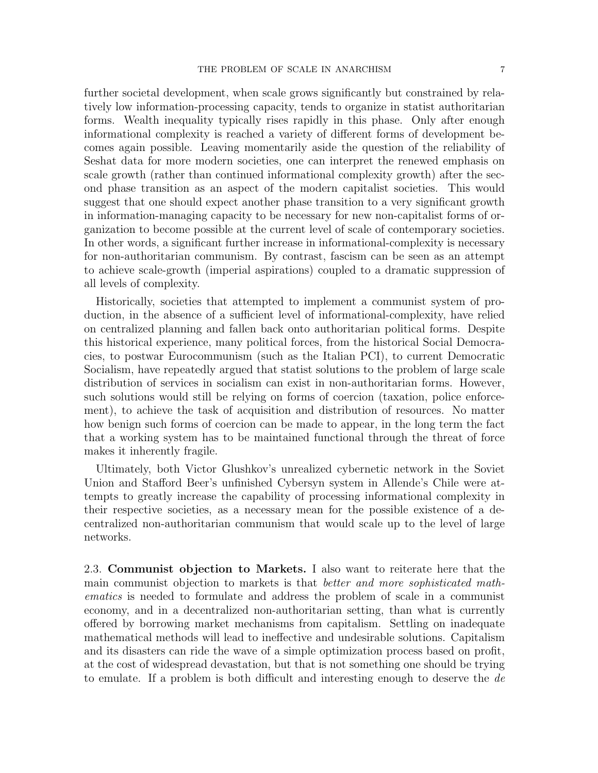further societal development, when scale grows significantly but constrained by relatively low information-processing capacity, tends to organize in statist authoritarian forms. Wealth inequality typically rises rapidly in this phase. Only after enough informational complexity is reached a variety of different forms of development becomes again possible. Leaving momentarily aside the question of the reliability of Seshat data for more modern societies, one can interpret the renewed emphasis on scale growth (rather than continued informational complexity growth) after the second phase transition as an aspect of the modern capitalist societies. This would suggest that one should expect another phase transition to a very significant growth in information-managing capacity to be necessary for new non-capitalist forms of organization to become possible at the current level of scale of contemporary societies. In other words, a significant further increase in informational-complexity is necessary for non-authoritarian communism. By contrast, fascism can be seen as an attempt to achieve scale-growth (imperial aspirations) coupled to a dramatic suppression of all levels of complexity.

Historically, societies that attempted to implement a communist system of production, in the absence of a sufficient level of informational-complexity, have relied on centralized planning and fallen back onto authoritarian political forms. Despite this historical experience, many political forces, from the historical Social Democracies, to postwar Eurocommunism (such as the Italian PCI), to current Democratic Socialism, have repeatedly argued that statist solutions to the problem of large scale distribution of services in socialism can exist in non-authoritarian forms. However, such solutions would still be relying on forms of coercion (taxation, police enforcement), to achieve the task of acquisition and distribution of resources. No matter how benign such forms of coercion can be made to appear, in the long term the fact that a working system has to be maintained functional through the threat of force makes it inherently fragile.

Ultimately, both Victor Glushkov's unrealized cybernetic network in the Soviet Union and Stafford Beer's unfinished Cybersyn system in Allende's Chile were attempts to greatly increase the capability of processing informational complexity in their respective societies, as a necessary mean for the possible existence of a decentralized non-authoritarian communism that would scale up to the level of large networks.

2.3. Communist objection to Markets. I also want to reiterate here that the main communist objection to markets is that better and more sophisticated mathematics is needed to formulate and address the problem of scale in a communist economy, and in a decentralized non-authoritarian setting, than what is currently offered by borrowing market mechanisms from capitalism. Settling on inadequate mathematical methods will lead to ineffective and undesirable solutions. Capitalism and its disasters can ride the wave of a simple optimization process based on profit, at the cost of widespread devastation, but that is not something one should be trying to emulate. If a problem is both difficult and interesting enough to deserve the de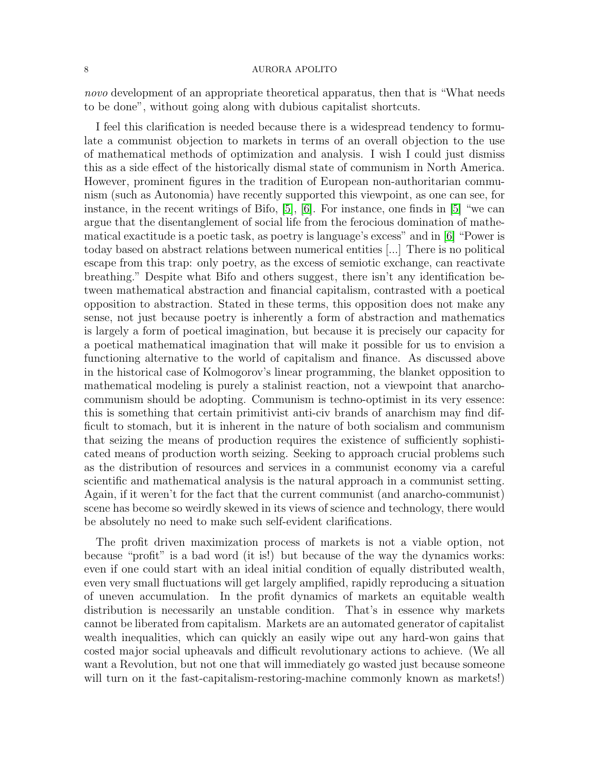novo development of an appropriate theoretical apparatus, then that is "What needs" to be done", without going along with dubious capitalist shortcuts.

I feel this clarification is needed because there is a widespread tendency to formulate a communist objection to markets in terms of an overall objection to the use of mathematical methods of optimization and analysis. I wish I could just dismiss this as a side effect of the historically dismal state of communism in North America. However, prominent figures in the tradition of European non-authoritarian communism (such as Autonomia) have recently supported this viewpoint, as one can see, for instance, in the recent writings of Bifo, [\[5\]](#page-18-12), [\[6\]](#page-18-13). For instance, one finds in [\[5\]](#page-18-12) "we can argue that the disentanglement of social life from the ferocious domination of mathematical exactitude is a poetic task, as poetry is language's excess" and in [\[6\]](#page-18-13) "Power is today based on abstract relations between numerical entities [...] There is no political escape from this trap: only poetry, as the excess of semiotic exchange, can reactivate breathing." Despite what Bifo and others suggest, there isn't any identification between mathematical abstraction and financial capitalism, contrasted with a poetical opposition to abstraction. Stated in these terms, this opposition does not make any sense, not just because poetry is inherently a form of abstraction and mathematics is largely a form of poetical imagination, but because it is precisely our capacity for a poetical mathematical imagination that will make it possible for us to envision a functioning alternative to the world of capitalism and finance. As discussed above in the historical case of Kolmogorov's linear programming, the blanket opposition to mathematical modeling is purely a stalinist reaction, not a viewpoint that anarchocommunism should be adopting. Communism is techno-optimist in its very essence: this is something that certain primitivist anti-civ brands of anarchism may find difficult to stomach, but it is inherent in the nature of both socialism and communism that seizing the means of production requires the existence of sufficiently sophisticated means of production worth seizing. Seeking to approach crucial problems such as the distribution of resources and services in a communist economy via a careful scientific and mathematical analysis is the natural approach in a communist setting. Again, if it weren't for the fact that the current communist (and anarcho-communist) scene has become so weirdly skewed in its views of science and technology, there would be absolutely no need to make such self-evident clarifications.

The profit driven maximization process of markets is not a viable option, not because "profit" is a bad word (it is!) but because of the way the dynamics works: even if one could start with an ideal initial condition of equally distributed wealth, even very small fluctuations will get largely amplified, rapidly reproducing a situation of uneven accumulation. In the profit dynamics of markets an equitable wealth distribution is necessarily an unstable condition. That's in essence why markets cannot be liberated from capitalism. Markets are an automated generator of capitalist wealth inequalities, which can quickly an easily wipe out any hard-won gains that costed major social upheavals and difficult revolutionary actions to achieve. (We all want a Revolution, but not one that will immediately go wasted just because someone will turn on it the fast-capitalism-restoring-machine commonly known as markets!)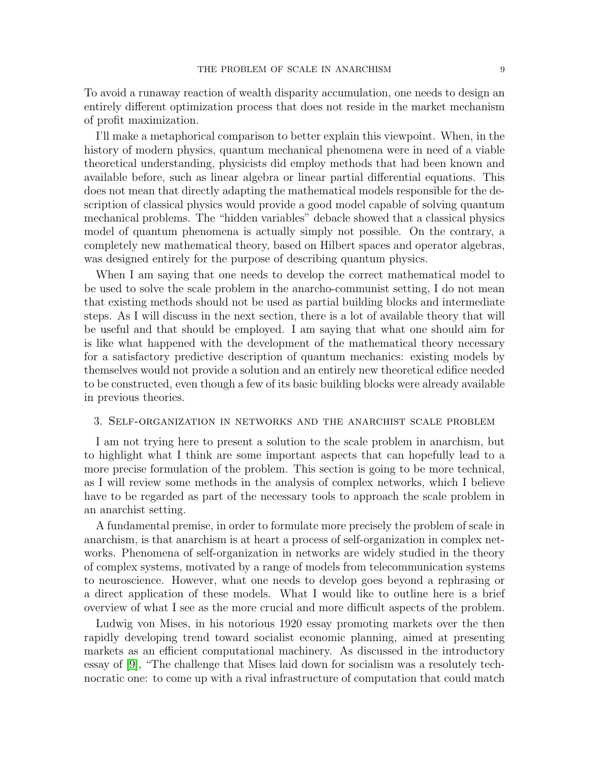To avoid a runaway reaction of wealth disparity accumulation, one needs to design an entirely different optimization process that does not reside in the market mechanism of profit maximization.

I'll make a metaphorical comparison to better explain this viewpoint. When, in the history of modern physics, quantum mechanical phenomena were in need of a viable theoretical understanding, physicists did employ methods that had been known and available before, such as linear algebra or linear partial differential equations. This does not mean that directly adapting the mathematical models responsible for the description of classical physics would provide a good model capable of solving quantum mechanical problems. The "hidden variables" debacle showed that a classical physics model of quantum phenomena is actually simply not possible. On the contrary, a completely new mathematical theory, based on Hilbert spaces and operator algebras, was designed entirely for the purpose of describing quantum physics.

When I am saying that one needs to develop the correct mathematical model to be used to solve the scale problem in the anarcho-communist setting, I do not mean that existing methods should not be used as partial building blocks and intermediate steps. As I will discuss in the next section, there is a lot of available theory that will be useful and that should be employed. I am saying that what one should aim for is like what happened with the development of the mathematical theory necessary for a satisfactory predictive description of quantum mechanics: existing models by themselves would not provide a solution and an entirely new theoretical edifice needed to be constructed, even though a few of its basic building blocks were already available in previous theories.

# 3. Self-organization in networks and the anarchist scale problem

I am not trying here to present a solution to the scale problem in anarchism, but to highlight what I think are some important aspects that can hopefully lead to a more precise formulation of the problem. This section is going to be more technical, as I will review some methods in the analysis of complex networks, which I believe have to be regarded as part of the necessary tools to approach the scale problem in an anarchist setting.

A fundamental premise, in order to formulate more precisely the problem of scale in anarchism, is that anarchism is at heart a process of self-organization in complex networks. Phenomena of self-organization in networks are widely studied in the theory of complex systems, motivated by a range of models from telecommunication systems to neuroscience. However, what one needs to develop goes beyond a rephrasing or a direct application of these models. What I would like to outline here is a brief overview of what I see as the more crucial and more difficult aspects of the problem.

Ludwig von Mises, in his notorious 1920 essay promoting markets over the then rapidly developing trend toward socialist economic planning, aimed at presenting markets as an efficient computational machinery. As discussed in the introductory essay of [\[9\]](#page-18-14), "The challenge that Mises laid down for socialism was a resolutely technocratic one: to come up with a rival infrastructure of computation that could match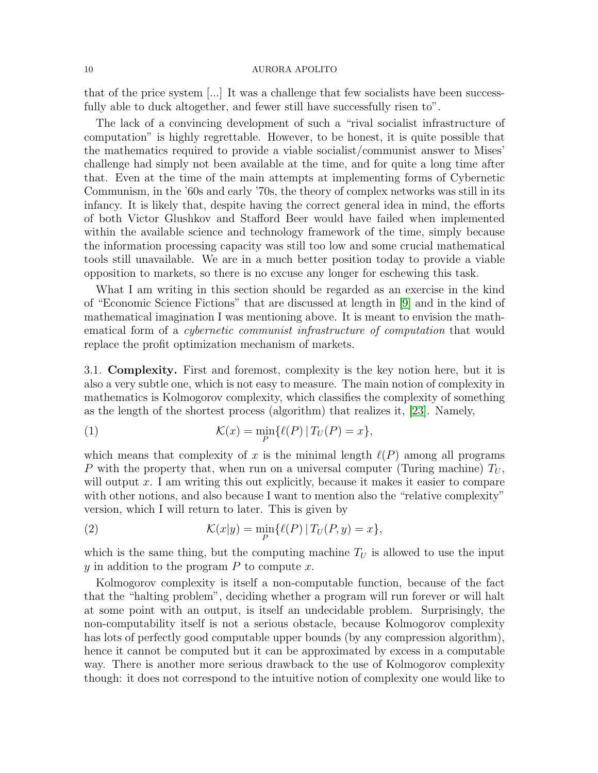that of the price system [...] It was a challenge that few socialists have been successfully able to duck altogether, and fewer still have successfully risen to".

The lack of a convincing development of such a "rival socialist infrastructure of computation" is highly regrettable. However, to be honest, it is quite possible that the mathematics required to provide a viable socialist/communist answer to Mises' challenge had simply not been available at the time, and for quite a long time after that. Even at the time of the main attempts at implementing forms of Cybernetic Communism, in the '60s and early '70s, the theory of complex networks was still in its infancy. It is likely that, despite having the correct general idea in mind, the efforts of both Victor Glushkov and Stafford Beer would have failed when implemented within the available science and technology framework of the time, simply because the information processing capacity was still too low and some crucial mathematical tools still unavailable. We are in a much better position today to provide a viable opposition to markets, so there is no excuse any longer for eschewing this task.

What I am writing in this section should be regarded as an exercise in the kind of "Economic Science Fictions" that are discussed at length in [\[9\]](#page-18-14) and in the kind of mathematical imagination I was mentioning above. It is meant to envision the mathematical form of a cybernetic communist infrastructure of computation that would replace the profit optimization mechanism of markets.

3.1. Complexity. First and foremost, complexity is the key notion here, but it is also a very subtle one, which is not easy to measure. The main notion of complexity in mathematics is Kolmogorov complexity, which classifies the complexity of something as the length of the shortest process (algorithm) that realizes it, [\[23\]](#page-18-15). Namely,

(1) 
$$
\mathcal{K}(x) = \min_{P} \{ \ell(P) | T_U(P) = x \},
$$

which means that complexity of x is the minimal length  $\ell(P)$  among all programs P with the property that, when run on a universal computer (Turing machine)  $T_U$ , will output  $x$ . I am writing this out explicitly, because it makes it easier to compare with other notions, and also because I want to mention also the "relative complexity" version, which I will return to later. This is given by

<span id="page-9-0"></span>(2) 
$$
\mathcal{K}(x|y) = \min_{P} \{ \ell(P) | T_U(P, y) = x \},
$$

which is the same thing, but the computing machine  $T_U$  is allowed to use the input y in addition to the program  $P$  to compute  $x$ .

Kolmogorov complexity is itself a non-computable function, because of the fact that the "halting problem", deciding whether a program will run forever or will halt at some point with an output, is itself an undecidable problem. Surprisingly, the non-computability itself is not a serious obstacle, because Kolmogorov complexity has lots of perfectly good computable upper bounds (by any compression algorithm), hence it cannot be computed but it can be approximated by excess in a computable way. There is another more serious drawback to the use of Kolmogorov complexity though: it does not correspond to the intuitive notion of complexity one would like to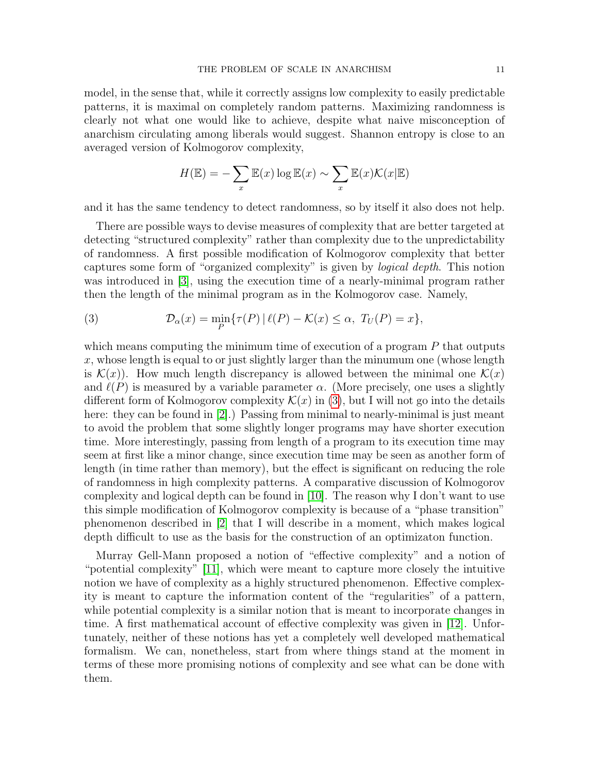model, in the sense that, while it correctly assigns low complexity to easily predictable patterns, it is maximal on completely random patterns. Maximizing randomness is clearly not what one would like to achieve, despite what naive misconception of anarchism circulating among liberals would suggest. Shannon entropy is close to an averaged version of Kolmogorov complexity,

$$
H(\mathbb{E}) = -\sum_{x} \mathbb{E}(x) \log \mathbb{E}(x) \sim \sum_{x} \mathbb{E}(x) \mathcal{K}(x|\mathbb{E})
$$

and it has the same tendency to detect randomness, so by itself it also does not help.

There are possible ways to devise measures of complexity that are better targeted at detecting "structured complexity" rather than complexity due to the unpredictability of randomness. A first possible modification of Kolmogorov complexity that better captures some form of "organized complexity" is given by logical depth. This notion was introduced in [\[3\]](#page-18-16), using the execution time of a nearly-minimal program rather then the length of the minimal program as in the Kolmogorov case. Namely,

<span id="page-10-0"></span>(3) 
$$
\mathcal{D}_{\alpha}(x) = \min_{P} \{ \tau(P) | \ell(P) - \mathcal{K}(x) \leq \alpha, T_U(P) = x \},
$$

which means computing the minimum time of execution of a program  $P$  that outputs x, whose length is equal to or just slightly larger than the minumum one (whose length is  $\mathcal{K}(x)$ . How much length discrepancy is allowed between the minimal one  $\mathcal{K}(x)$ and  $\ell(P)$  is measured by a variable parameter  $\alpha$ . (More precisely, one uses a slightly different form of Kolmogorov complexity  $\mathcal{K}(x)$  in [\(3\)](#page-10-0), but I will not go into the details here: they can be found in [\[2\]](#page-18-17).) Passing from minimal to nearly-minimal is just meant to avoid the problem that some slightly longer programs may have shorter execution time. More interestingly, passing from length of a program to its execution time may seem at first like a minor change, since execution time may be seen as another form of length (in time rather than memory), but the effect is significant on reducing the role of randomness in high complexity patterns. A comparative discussion of Kolmogorov complexity and logical depth can be found in [\[10\]](#page-18-18). The reason why I don't want to use this simple modification of Kolmogorov complexity is because of a "phase transition" phenomenon described in [\[2\]](#page-18-17) that I will describe in a moment, which makes logical depth difficult to use as the basis for the construction of an optimizaton function.

Murray Gell-Mann proposed a notion of "effective complexity" and a notion of "potential complexity" [\[11\]](#page-18-19), which were meant to capture more closely the intuitive notion we have of complexity as a highly structured phenomenon. Effective complexity is meant to capture the information content of the "regularities" of a pattern, while potential complexity is a similar notion that is meant to incorporate changes in time. A first mathematical account of effective complexity was given in [\[12\]](#page-18-20). Unfortunately, neither of these notions has yet a completely well developed mathematical formalism. We can, nonetheless, start from where things stand at the moment in terms of these more promising notions of complexity and see what can be done with them.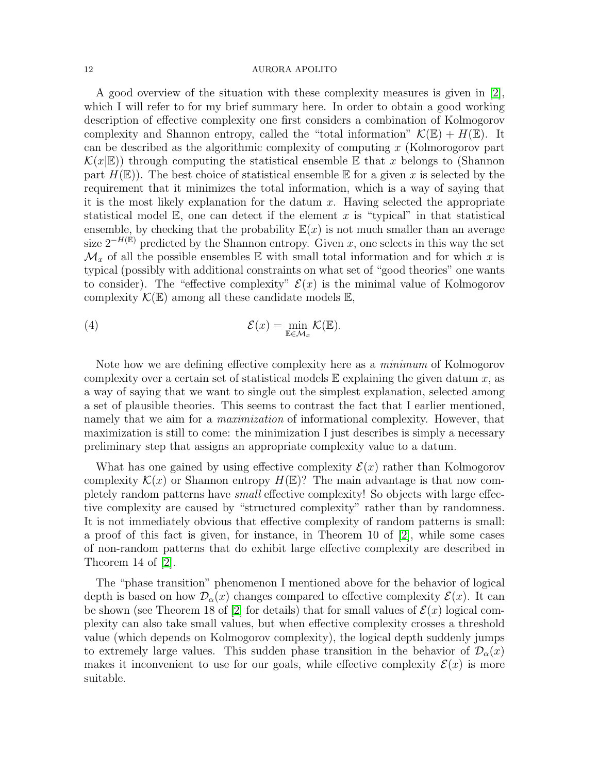A good overview of the situation with these complexity measures is given in [\[2\]](#page-18-17), which I will refer to for my brief summary here. In order to obtain a good working description of effective complexity one first considers a combination of Kolmogorov complexity and Shannon entropy, called the "total information"  $\mathcal{K}(\mathbb{E}) + H(\mathbb{E})$ . It can be described as the algorithmic complexity of computing x (Kolmorogorov part  $\mathcal{K}(x|\mathbb{E})$ ) through computing the statistical ensemble  $\mathbb E$  that x belongs to (Shannon part  $H(\mathbb{E})$ ). The best choice of statistical ensemble  $\mathbb E$  for a given x is selected by the requirement that it minimizes the total information, which is a way of saying that it is the most likely explanation for the datum  $x$ . Having selected the appropriate statistical model  $\mathbb{E}$ , one can detect if the element x is "typical" in that statistical ensemble, by checking that the probability  $E(x)$  is not much smaller than an average size  $2^{-H(\mathbb{E})}$  predicted by the Shannon entropy. Given x, one selects in this way the set  $\mathcal{M}_x$  of all the possible ensembles E with small total information and for which x is typical (possibly with additional constraints on what set of "good theories" one wants to consider). The "effective complexity"  $\mathcal{E}(x)$  is the minimal value of Kolmogorov complexity  $\mathcal{K}(\mathbb{E})$  among all these candidate models  $\mathbb{E}$ ,

(4) 
$$
\mathcal{E}(x) = \min_{\mathbb{E}\in\mathcal{M}_x} \mathcal{K}(\mathbb{E}).
$$

Note how we are defining effective complexity here as a minimum of Kolmogorov complexity over a certain set of statistical models  $E$  explaining the given datum x, as a way of saying that we want to single out the simplest explanation, selected among a set of plausible theories. This seems to contrast the fact that I earlier mentioned, namely that we aim for a *maximization* of informational complexity. However, that maximization is still to come: the minimization I just describes is simply a necessary preliminary step that assigns an appropriate complexity value to a datum.

What has one gained by using effective complexity  $\mathcal{E}(x)$  rather than Kolmogorov complexity  $\mathcal{K}(x)$  or Shannon entropy  $H(\mathbb{E})$ ? The main advantage is that now completely random patterns have small effective complexity! So objects with large effective complexity are caused by "structured complexity" rather than by randomness. It is not immediately obvious that effective complexity of random patterns is small: a proof of this fact is given, for instance, in Theorem 10 of [\[2\]](#page-18-17), while some cases of non-random patterns that do exhibit large effective complexity are described in Theorem 14 of [\[2\]](#page-18-17).

The "phase transition" phenomenon I mentioned above for the behavior of logical depth is based on how  $\mathcal{D}_{\alpha}(x)$  changes compared to effective complexity  $\mathcal{E}(x)$ . It can be shown (see Theorem 18 of [\[2\]](#page-18-17) for details) that for small values of  $\mathcal{E}(x)$  logical complexity can also take small values, but when effective complexity crosses a threshold value (which depends on Kolmogorov complexity), the logical depth suddenly jumps to extremely large values. This sudden phase transition in the behavior of  $\mathcal{D}_{\alpha}(x)$ makes it inconvenient to use for our goals, while effective complexity  $\mathcal{E}(x)$  is more suitable.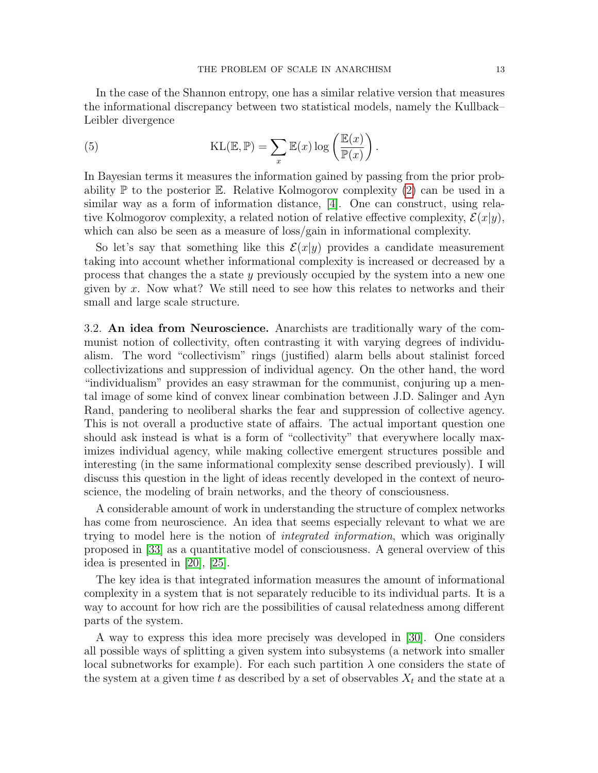In the case of the Shannon entropy, one has a similar relative version that measures the informational discrepancy between two statistical models, namely the Kullback– Leibler divergence

<span id="page-12-0"></span>(5) 
$$
KL(\mathbb{E}, \mathbb{P}) = \sum_{x} \mathbb{E}(x) \log \left( \frac{\mathbb{E}(x)}{\mathbb{P}(x)} \right).
$$

In Bayesian terms it measures the information gained by passing from the prior probability  $\mathbb P$  to the posterior  $\mathbb E$ . Relative Kolmogorov complexity [\(2\)](#page-9-0) can be used in a similar way as a form of information distance, [\[4\]](#page-18-21). One can construct, using relative Kolmogorov complexity, a related notion of relative effective complexity,  $\mathcal{E}(x|y)$ , which can also be seen as a measure of loss/gain in informational complexity.

So let's say that something like this  $\mathcal{E}(x|y)$  provides a candidate measurement taking into account whether informational complexity is increased or decreased by a process that changes the a state y previously occupied by the system into a new one given by  $x$ . Now what? We still need to see how this relates to networks and their small and large scale structure.

3.2. An idea from Neuroscience. Anarchists are traditionally wary of the communist notion of collectivity, often contrasting it with varying degrees of individualism. The word "collectivism" rings (justified) alarm bells about stalinist forced collectivizations and suppression of individual agency. On the other hand, the word "individualism" provides an easy strawman for the communist, conjuring up a mental image of some kind of convex linear combination between J.D. Salinger and Ayn Rand, pandering to neoliberal sharks the fear and suppression of collective agency. This is not overall a productive state of affairs. The actual important question one should ask instead is what is a form of "collectivity" that everywhere locally maximizes individual agency, while making collective emergent structures possible and interesting (in the same informational complexity sense described previously). I will discuss this question in the light of ideas recently developed in the context of neuroscience, the modeling of brain networks, and the theory of consciousness.

A considerable amount of work in understanding the structure of complex networks has come from neuroscience. An idea that seems especially relevant to what we are trying to model here is the notion of integrated information, which was originally proposed in [\[33\]](#page-19-3) as a quantitative model of consciousness. A general overview of this idea is presented in [\[20\]](#page-18-22), [\[25\]](#page-18-23).

The key idea is that integrated information measures the amount of informational complexity in a system that is not separately reducible to its individual parts. It is a way to account for how rich are the possibilities of causal relatedness among different parts of the system.

A way to express this idea more precisely was developed in [\[30\]](#page-18-24). One considers all possible ways of splitting a given system into subsystems (a network into smaller local subnetworks for example). For each such partition  $\lambda$  one considers the state of the system at a given time t as described by a set of observables  $X_t$  and the state at a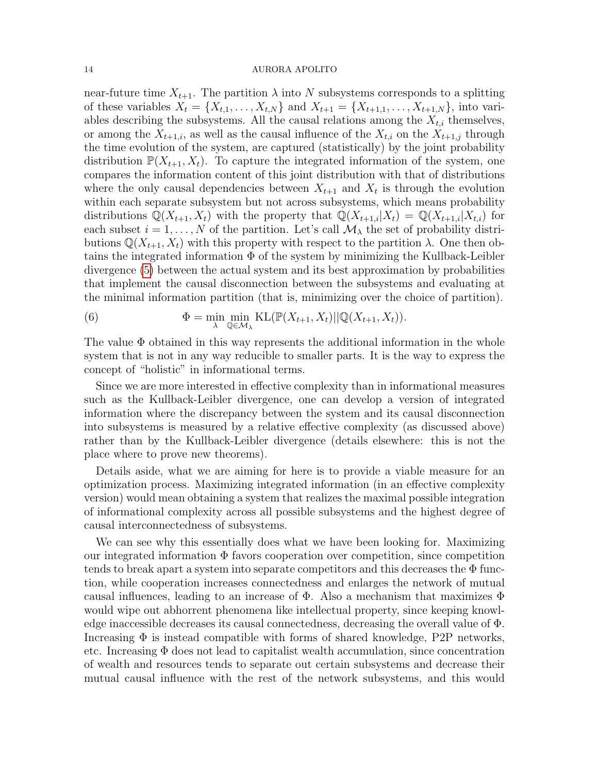near-future time  $X_{t+1}$ . The partition  $\lambda$  into N subsystems corresponds to a splitting of these variables  $X_t = \{X_{t,1}, \ldots, X_{t,N}\}\$ and  $X_{t+1} = \{X_{t+1,1}, \ldots, X_{t+1,N}\}\$ , into variables describing the subsystems. All the causal relations among the  $X_{t,i}$  themselves, or among the  $X_{t+1,i}$ , as well as the causal influence of the  $X_{t,i}$  on the  $X_{t+1,j}$  through the time evolution of the system, are captured (statistically) by the joint probability distribution  $\mathbb{P}(X_{t+1}, X_t)$ . To capture the integrated information of the system, one compares the information content of this joint distribution with that of distributions where the only causal dependencies between  $X_{t+1}$  and  $X_t$  is through the evolution within each separate subsystem but not across subsystems, which means probability distributions  $\mathbb{Q}(X_{t+1}, X_t)$  with the property that  $\mathbb{Q}(X_{t+1,i}|X_t) = \mathbb{Q}(X_{t+1,i}|X_{t,i})$  for each subset  $i = 1, ..., N$  of the partition. Let's call  $\mathcal{M}_{\lambda}$  the set of probability distributions  $\mathbb{Q}(X_{t+1}, X_t)$  with this property with respect to the partition  $\lambda$ . One then obtains the integrated information  $\Phi$  of the system by minimizing the Kullback-Leibler divergence [\(5\)](#page-12-0) between the actual system and its best approximation by probabilities that implement the causal disconnection between the subsystems and evaluating at the minimal information partition (that is, minimizing over the choice of partition).

<span id="page-13-0"></span>(6) 
$$
\Phi = \min_{\lambda} \min_{\mathbb{Q} \in \mathcal{M}_{\lambda}} \text{KL}(\mathbb{P}(X_{t+1}, X_t) || \mathbb{Q}(X_{t+1}, X_t)).
$$

The value  $\Phi$  obtained in this way represents the additional information in the whole system that is not in any way reducible to smaller parts. It is the way to express the concept of "holistic" in informational terms.

Since we are more interested in effective complexity than in informational measures such as the Kullback-Leibler divergence, one can develop a version of integrated information where the discrepancy between the system and its causal disconnection into subsystems is measured by a relative effective complexity (as discussed above) rather than by the Kullback-Leibler divergence (details elsewhere: this is not the place where to prove new theorems).

Details aside, what we are aiming for here is to provide a viable measure for an optimization process. Maximizing integrated information (in an effective complexity version) would mean obtaining a system that realizes the maximal possible integration of informational complexity across all possible subsystems and the highest degree of causal interconnectedness of subsystems.

We can see why this essentially does what we have been looking for. Maximizing our integrated information  $\Phi$  favors cooperation over competition, since competition tends to break apart a system into separate competitors and this decreases the  $\Phi$  function, while cooperation increases connectedness and enlarges the network of mutual causal influences, leading to an increase of  $\Phi$ . Also a mechanism that maximizes  $\Phi$ would wipe out abhorrent phenomena like intellectual property, since keeping knowledge inaccessible decreases its causal connectedness, decreasing the overall value of Φ. Increasing  $\Phi$  is instead compatible with forms of shared knowledge, P2P networks, etc. Increasing  $\Phi$  does not lead to capitalist wealth accumulation, since concentration of wealth and resources tends to separate out certain subsystems and decrease their mutual causal influence with the rest of the network subsystems, and this would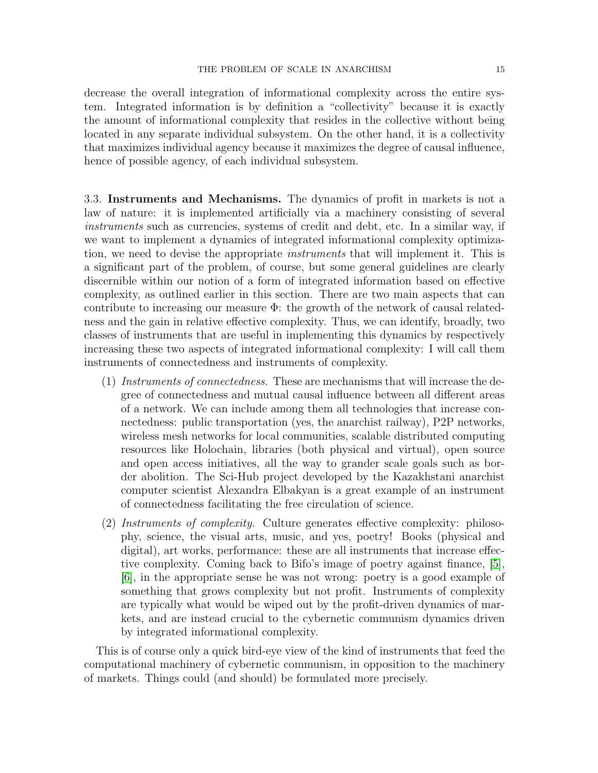decrease the overall integration of informational complexity across the entire system. Integrated information is by definition a "collectivity" because it is exactly the amount of informational complexity that resides in the collective without being located in any separate individual subsystem. On the other hand, it is a collectivity that maximizes individual agency because it maximizes the degree of causal influence, hence of possible agency, of each individual subsystem.

3.3. Instruments and Mechanisms. The dynamics of profit in markets is not a law of nature: it is implemented artificially via a machinery consisting of several instruments such as currencies, systems of credit and debt, etc. In a similar way, if we want to implement a dynamics of integrated informational complexity optimization, we need to devise the appropriate *instruments* that will implement it. This is a significant part of the problem, of course, but some general guidelines are clearly discernible within our notion of a form of integrated information based on effective complexity, as outlined earlier in this section. There are two main aspects that can contribute to increasing our measure Φ: the growth of the network of causal relatedness and the gain in relative effective complexity. Thus, we can identify, broadly, two classes of instruments that are useful in implementing this dynamics by respectively increasing these two aspects of integrated informational complexity: I will call them instruments of connectedness and instruments of complexity.

- (1) Instruments of connectedness. These are mechanisms that will increase the degree of connectedness and mutual causal influence between all different areas of a network. We can include among them all technologies that increase connectedness: public transportation (yes, the anarchist railway), P2P networks, wireless mesh networks for local communities, scalable distributed computing resources like Holochain, libraries (both physical and virtual), open source and open access initiatives, all the way to grander scale goals such as border abolition. The Sci-Hub project developed by the Kazakhstani anarchist computer scientist Alexandra Elbakyan is a great example of an instrument of connectedness facilitating the free circulation of science.
- (2) Instruments of complexity. Culture generates effective complexity: philosophy, science, the visual arts, music, and yes, poetry! Books (physical and digital), art works, performance: these are all instruments that increase effective complexity. Coming back to Bifo's image of poetry against finance, [\[5\]](#page-18-12), [\[6\]](#page-18-13), in the appropriate sense he was not wrong: poetry is a good example of something that grows complexity but not profit. Instruments of complexity are typically what would be wiped out by the profit-driven dynamics of markets, and are instead crucial to the cybernetic communism dynamics driven by integrated informational complexity.

This is of course only a quick bird-eye view of the kind of instruments that feed the computational machinery of cybernetic communism, in opposition to the machinery of markets. Things could (and should) be formulated more precisely.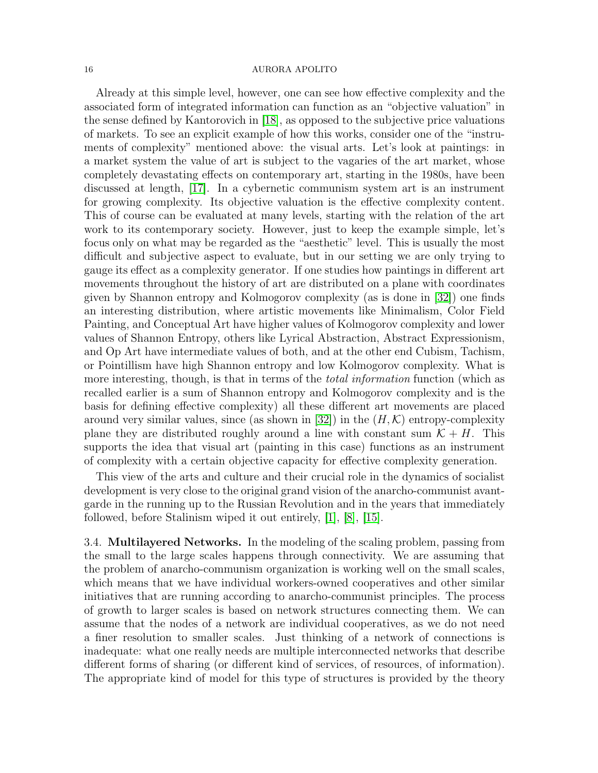Already at this simple level, however, one can see how effective complexity and the associated form of integrated information can function as an "objective valuation" in the sense defined by Kantorovich in [\[18\]](#page-18-0), as opposed to the subjective price valuations of markets. To see an explicit example of how this works, consider one of the "instruments of complexity" mentioned above: the visual arts. Let's look at paintings: in a market system the value of art is subject to the vagaries of the art market, whose completely devastating effects on contemporary art, starting in the 1980s, have been discussed at length, [\[17\]](#page-18-25). In a cybernetic communism system art is an instrument for growing complexity. Its objective valuation is the effective complexity content. This of course can be evaluated at many levels, starting with the relation of the art work to its contemporary society. However, just to keep the example simple, let's focus only on what may be regarded as the "aesthetic" level. This is usually the most difficult and subjective aspect to evaluate, but in our setting we are only trying to gauge its effect as a complexity generator. If one studies how paintings in different art movements throughout the history of art are distributed on a plane with coordinates given by Shannon entropy and Kolmogorov complexity (as is done in [\[32\]](#page-19-4)) one finds an interesting distribution, where artistic movements like Minimalism, Color Field Painting, and Conceptual Art have higher values of Kolmogorov complexity and lower values of Shannon Entropy, others like Lyrical Abstraction, Abstract Expressionism, and Op Art have intermediate values of both, and at the other end Cubism, Tachism, or Pointillism have high Shannon entropy and low Kolmogorov complexity. What is more interesting, though, is that in terms of the *total information* function (which as recalled earlier is a sum of Shannon entropy and Kolmogorov complexity and is the basis for defining effective complexity) all these different art movements are placed around very similar values, since (as shown in [\[32\]](#page-19-4)) in the  $(H, K)$  entropy-complexity plane they are distributed roughly around a line with constant sum  $\mathcal{K} + H$ . This supports the idea that visual art (painting in this case) functions as an instrument of complexity with a certain objective capacity for effective complexity generation.

This view of the arts and culture and their crucial role in the dynamics of socialist development is very close to the original grand vision of the anarcho-communist avantgarde in the running up to the Russian Revolution and in the years that immediately followed, before Stalinism wiped it out entirely, [\[1\]](#page-18-26), [\[8\]](#page-18-27), [\[15\]](#page-18-28).

3.4. Multilayered Networks. In the modeling of the scaling problem, passing from the small to the large scales happens through connectivity. We are assuming that the problem of anarcho-communism organization is working well on the small scales, which means that we have individual workers-owned cooperatives and other similar initiatives that are running according to anarcho-communist principles. The process of growth to larger scales is based on network structures connecting them. We can assume that the nodes of a network are individual cooperatives, as we do not need a finer resolution to smaller scales. Just thinking of a network of connections is inadequate: what one really needs are multiple interconnected networks that describe different forms of sharing (or different kind of services, of resources, of information). The appropriate kind of model for this type of structures is provided by the theory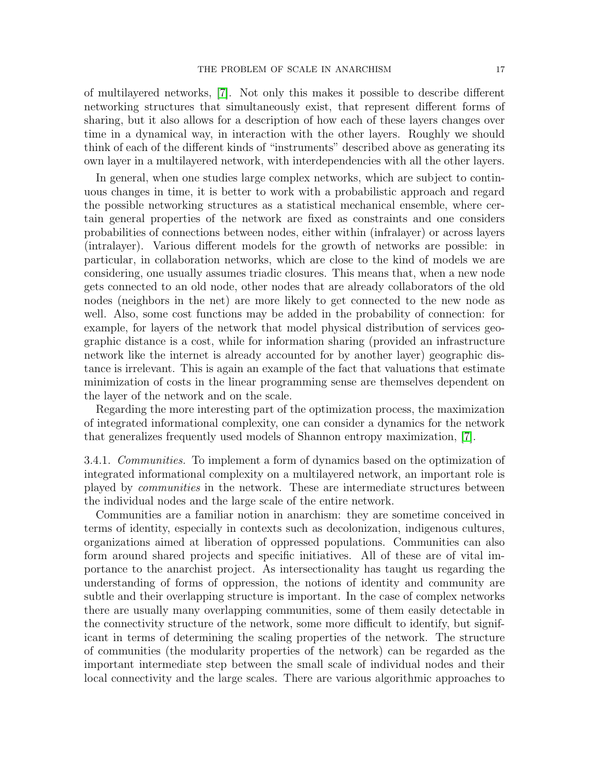of multilayered networks, [\[7\]](#page-18-29). Not only this makes it possible to describe different networking structures that simultaneously exist, that represent different forms of sharing, but it also allows for a description of how each of these layers changes over time in a dynamical way, in interaction with the other layers. Roughly we should think of each of the different kinds of "instruments" described above as generating its own layer in a multilayered network, with interdependencies with all the other layers.

In general, when one studies large complex networks, which are subject to continuous changes in time, it is better to work with a probabilistic approach and regard the possible networking structures as a statistical mechanical ensemble, where certain general properties of the network are fixed as constraints and one considers probabilities of connections between nodes, either within (infralayer) or across layers (intralayer). Various different models for the growth of networks are possible: in particular, in collaboration networks, which are close to the kind of models we are considering, one usually assumes triadic closures. This means that, when a new node gets connected to an old node, other nodes that are already collaborators of the old nodes (neighbors in the net) are more likely to get connected to the new node as well. Also, some cost functions may be added in the probability of connection: for example, for layers of the network that model physical distribution of services geographic distance is a cost, while for information sharing (provided an infrastructure network like the internet is already accounted for by another layer) geographic distance is irrelevant. This is again an example of the fact that valuations that estimate minimization of costs in the linear programming sense are themselves dependent on the layer of the network and on the scale.

Regarding the more interesting part of the optimization process, the maximization of integrated informational complexity, one can consider a dynamics for the network that generalizes frequently used models of Shannon entropy maximization, [\[7\]](#page-18-29).

3.4.1. Communities. To implement a form of dynamics based on the optimization of integrated informational complexity on a multilayered network, an important role is played by communities in the network. These are intermediate structures between the individual nodes and the large scale of the entire network.

Communities are a familiar notion in anarchism: they are sometime conceived in terms of identity, especially in contexts such as decolonization, indigenous cultures, organizations aimed at liberation of oppressed populations. Communities can also form around shared projects and specific initiatives. All of these are of vital importance to the anarchist project. As intersectionality has taught us regarding the understanding of forms of oppression, the notions of identity and community are subtle and their overlapping structure is important. In the case of complex networks there are usually many overlapping communities, some of them easily detectable in the connectivity structure of the network, some more difficult to identify, but significant in terms of determining the scaling properties of the network. The structure of communities (the modularity properties of the network) can be regarded as the important intermediate step between the small scale of individual nodes and their local connectivity and the large scales. There are various algorithmic approaches to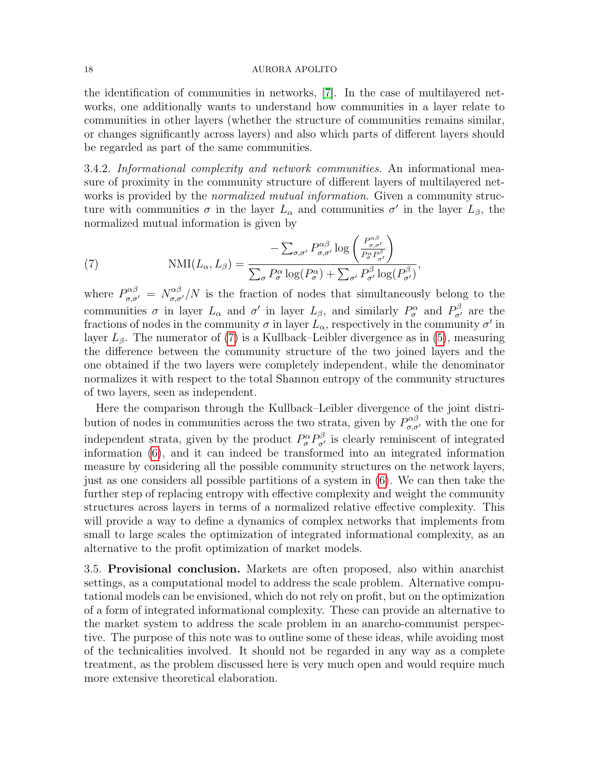the identification of communities in networks, [\[7\]](#page-18-29). In the case of multilayered networks, one additionally wants to understand how communities in a layer relate to communities in other layers (whether the structure of communities remains similar, or changes significantly across layers) and also which parts of different layers should be regarded as part of the same communities.

3.4.2. Informational complexity and network communities. An informational measure of proximity in the community structure of different layers of multilayered networks is provided by the *normalized mutual information*. Given a community structure with communities  $\sigma$  in the layer  $L_{\alpha}$  and communities  $\sigma'$  in the layer  $L_{\beta}$ , the normalized mutual information is given by

<span id="page-17-0"></span>(7) 
$$
\text{NMI}(L_{\alpha}, L_{\beta}) = \frac{-\sum_{\sigma, \sigma'} P^{\alpha \beta}_{\sigma, \sigma'} \log \left( \frac{P^{\alpha \beta}_{\sigma, \sigma'}}{P^{\alpha}_{\sigma} P^{\beta}_{\sigma'}} \right)}{\sum_{\sigma} P^{\alpha}_{\sigma} \log (P^{\alpha}_{\sigma}) + \sum_{\sigma'} P^{\beta}_{\sigma'} \log (P^{\beta}_{\sigma'})},
$$

where  $P^{\alpha\beta}_{\sigma,\sigma'}=N^{\alpha\beta}_{\sigma,\sigma'}/N$  is the fraction of nodes that simultaneously belong to the communities  $\sigma$  in layer  $L_{\alpha}$  and  $\sigma'$  in layer  $L_{\beta}$ , and similarly  $P_{\sigma}^{\alpha}$  and  $P_{\sigma'}^{\beta}$  are the fractions of nodes in the community  $\sigma$  in layer  $\bar{L}_{\alpha}$ , respectively in the community  $\sigma'$  in layer  $L_{\beta}$ . The numerator of [\(7\)](#page-17-0) is a Kullback–Leibler divergence as in [\(5\)](#page-12-0), measuring the difference between the community structure of the two joined layers and the one obtained if the two layers were completely independent, while the denominator normalizes it with respect to the total Shannon entropy of the community structures of two layers, seen as independent.

Here the comparison through the Kullback–Leibler divergence of the joint distribution of nodes in communities across the two strata, given by  $P^{\alpha\beta}_{\sigma,\sigma'}$  with the one for independent strata, given by the product  $P^{\alpha}_{\sigma} P^{\beta}_{\sigma'}$  is clearly reminiscent of integrated information [\(6\)](#page-13-0), and it can indeed be transformed into an integrated information measure by considering all the possible community structures on the network layers, just as one considers all possible partitions of a system in [\(6\)](#page-13-0). We can then take the further step of replacing entropy with effective complexity and weight the community structures across layers in terms of a normalized relative effective complexity. This will provide a way to define a dynamics of complex networks that implements from small to large scales the optimization of integrated informational complexity, as an alternative to the profit optimization of market models.

3.5. Provisional conclusion. Markets are often proposed, also within anarchist settings, as a computational model to address the scale problem. Alternative computational models can be envisioned, which do not rely on profit, but on the optimization of a form of integrated informational complexity. These can provide an alternative to the market system to address the scale problem in an anarcho-communist perspective. The purpose of this note was to outline some of these ideas, while avoiding most of the technicalities involved. It should not be regarded in any way as a complete treatment, as the problem discussed here is very much open and would require much more extensive theoretical elaboration.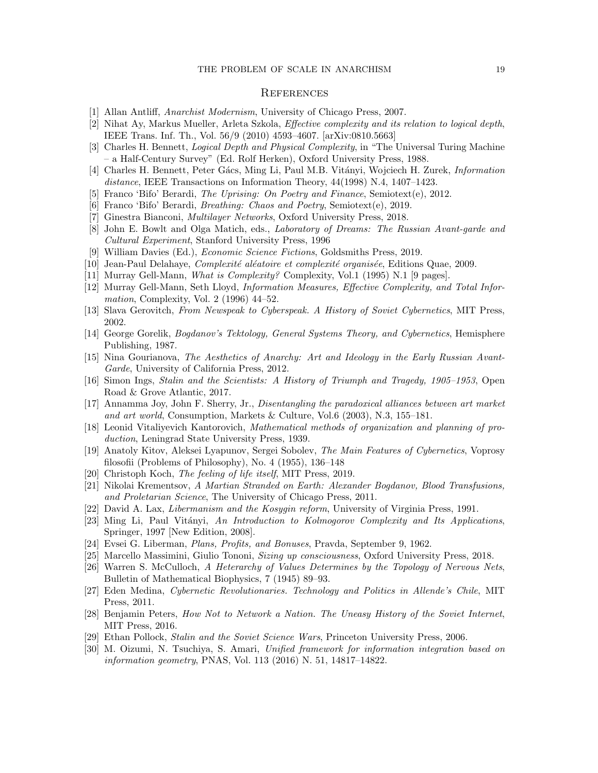### **REFERENCES**

- <span id="page-18-26"></span>[1] Allan Antliff, Anarchist Modernism, University of Chicago Press, 2007.
- <span id="page-18-17"></span>[2] Nihat Ay, Markus Mueller, Arleta Szkola, Effective complexity and its relation to logical depth, IEEE Trans. Inf. Th., Vol. 56/9 (2010) 4593–4607. [arXiv:0810.5663]
- <span id="page-18-16"></span>[3] Charles H. Bennett, Logical Depth and Physical Complexity, in "The Universal Turing Machine – a Half-Century Survey" (Ed. Rolf Herken), Oxford University Press, 1988.
- <span id="page-18-21"></span>[4] Charles H. Bennett, Peter Gács, Ming Li, Paul M.B. Vitányi, Wojciech H. Zurek, *Information* distance, IEEE Transactions on Information Theory, 44(1998) N.4, 1407-1423.
- <span id="page-18-12"></span>[5] Franco 'Bifo' Berardi, The Uprising: On Poetry and Finance, Semiotext(e), 2012.
- <span id="page-18-13"></span>[6] Franco 'Bifo' Berardi, Breathing: Chaos and Poetry, Semiotext(e), 2019.
- <span id="page-18-29"></span>[7] Ginestra Bianconi, Multilayer Networks, Oxford University Press, 2018.
- <span id="page-18-27"></span>[8] John E. Bowlt and Olga Matich, eds., Laboratory of Dreams: The Russian Avant-garde and Cultural Experiment, Stanford University Press, 1996
- <span id="page-18-14"></span>[9] William Davies (Ed.), Economic Science Fictions, Goldsmiths Press, 2019.
- <span id="page-18-18"></span>[10] Jean-Paul Delahaye, *Complexité aléatoire et complexité organisée*, Editions Quae, 2009.
- <span id="page-18-19"></span>[11] Murray Gell-Mann, What is Complexity? Complexity, Vol.1 (1995) N.1 [9 pages].
- <span id="page-18-20"></span>[12] Murray Gell-Mann, Seth Lloyd, Information Measures, Effective Complexity, and Total Information, Complexity, Vol. 2 (1996) 44–52.
- <span id="page-18-2"></span>[13] Slava Gerovitch, From Newspeak to Cyberspeak. A History of Soviet Cybernetics, MIT Press, 2002.
- <span id="page-18-3"></span>[14] George Gorelik, Bogdanov's Tektology, General Systems Theory, and Cybernetics, Hemisphere Publishing, 1987.
- <span id="page-18-28"></span>[15] Nina Gourianova, The Aesthetics of Anarchy: Art and Ideology in the Early Russian Avant-Garde, University of California Press, 2012.
- <span id="page-18-5"></span>[16] Simon Ings, Stalin and the Scientists: A History of Triumph and Tragedy, 1905–1953, Open Road & Grove Atlantic, 2017.
- <span id="page-18-25"></span>[17] Annamma Joy, John F. Sherry, Jr., Disentangling the paradoxical alliances between art market and art world, Consumption, Markets & Culture, Vol.6 (2003), N.3, 155–181.
- <span id="page-18-0"></span>[18] Leonid Vitaliyevich Kantorovich, Mathematical methods of organization and planning of production, Leningrad State University Press, 1939.
- <span id="page-18-7"></span>[19] Anatoly Kitov, Aleksei Lyapunov, Sergei Sobolev, The Main Features of Cybernetics, Voprosy filosofii (Problems of Philosophy), No. 4 (1955), 136–148
- <span id="page-18-22"></span>[20] Christoph Koch, *The feeling of life itself*, MIT Press, 2019.
- <span id="page-18-4"></span>[21] Nikolai Krementsov, A Martian Stranded on Earth: Alexander Bogdanov, Blood Transfusions, and Proletarian Science, The University of Chicago Press, 2011.
- <span id="page-18-9"></span>[22] David A. Lax, Libermanism and the Kosygin reform, University of Virginia Press, 1991.
- <span id="page-18-15"></span>[23] Ming Li, Paul Vitányi, An Introduction to Kolmogorov Complexity and Its Applications, Springer, 1997 [New Edition, 2008].
- <span id="page-18-10"></span>[24] Evsei G. Liberman, Plans, Profits, and Bonuses, Pravda, September 9, 1962.
- <span id="page-18-23"></span>[25] Marcello Massimini, Giulio Tononi, Sizing up consciousness, Oxford University Press, 2018.
- <span id="page-18-8"></span>[26] Warren S. McCulloch, A Heterarchy of Values Determines by the Topology of Nervous Nets, Bulletin of Mathematical Biophysics, 7 (1945) 89–93.
- <span id="page-18-11"></span>[27] Eden Medina, Cybernetic Revolutionaries. Technology and Politics in Allende's Chile, MIT Press, 2011.
- <span id="page-18-1"></span>[28] Benjamin Peters, How Not to Network a Nation. The Uneasy History of the Soviet Internet, MIT Press, 2016.
- <span id="page-18-6"></span>[29] Ethan Pollock, Stalin and the Soviet Science Wars, Princeton University Press, 2006.
- <span id="page-18-24"></span>[30] M. Oizumi, N. Tsuchiya, S. Amari, Unified framework for information integration based on information geometry, PNAS, Vol. 113 (2016) N. 51, 14817–14822.